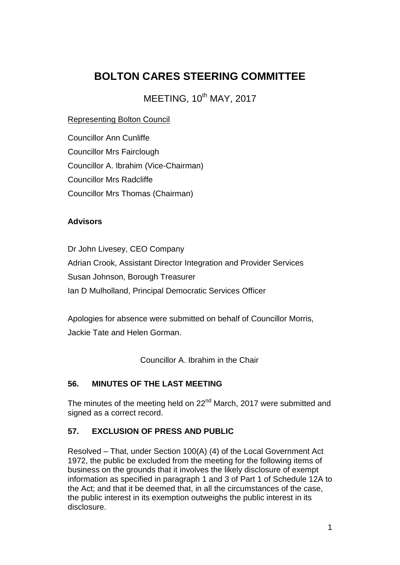# **BOLTON CARES STEERING COMMITTEE**

MEETING, 10<sup>th</sup> MAY, 2017

### Representing Bolton Council

Councillor Ann Cunliffe Councillor Mrs Fairclough Councillor A. Ibrahim (Vice-Chairman) Councillor Mrs Radcliffe Councillor Mrs Thomas (Chairman)

#### **Advisors**

Dr John Livesey, CEO Company Adrian Crook, Assistant Director Integration and Provider Services Susan Johnson, Borough Treasurer Ian D Mulholland, Principal Democratic Services Officer

Apologies for absence were submitted on behalf of Councillor Morris, Jackie Tate and Helen Gorman.

Councillor A. Ibrahim in the Chair

#### **56. MINUTES OF THE LAST MEETING**

The minutes of the meeting held on  $22<sup>nd</sup>$  March, 2017 were submitted and signed as a correct record.

## **57. EXCLUSION OF PRESS AND PUBLIC**

Resolved – That, under Section 100(A) (4) of the Local Government Act 1972, the public be excluded from the meeting for the following items of business on the grounds that it involves the likely disclosure of exempt information as specified in paragraph 1 and 3 of Part 1 of Schedule 12A to the Act; and that it be deemed that, in all the circumstances of the case, the public interest in its exemption outweighs the public interest in its disclosure.